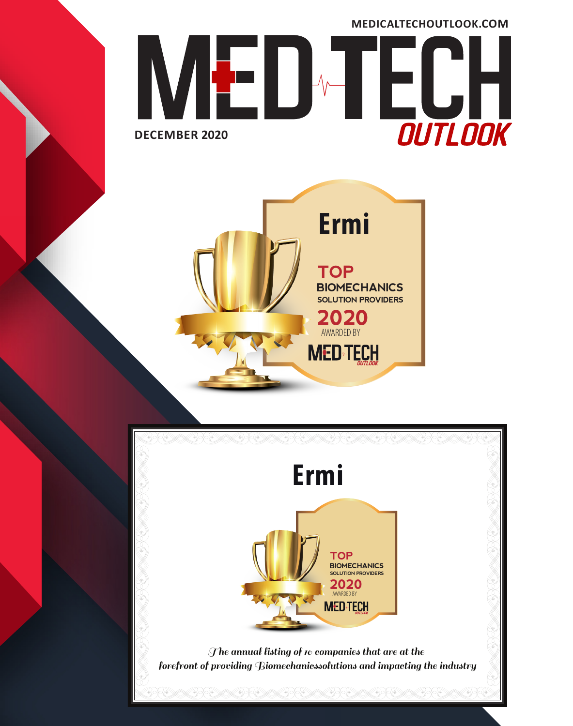



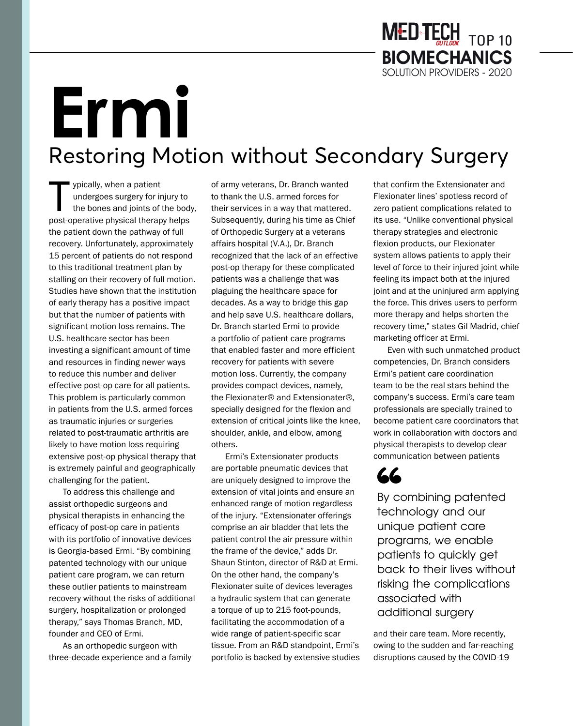## **Ermi** Restoring Motion without Secondary Surgery

ypically, when a patient<br>
undergoes surgery for injury to<br>
the bones and joints of the body<br>
post-operative physical therapy helps undergoes surgery for injury to the bones and joints of the body, the patient down the pathway of full recovery. Unfortunately, approximately 15 percent of patients do not respond to this traditional treatment plan by stalling on their recovery of full motion. Studies have shown that the institution of early therapy has a positive impact but that the number of patients with significant motion loss remains. The U.S. healthcare sector has been investing a significant amount of time and resources in finding newer ways to reduce this number and deliver effective post-op care for all patients. This problem is particularly common in patients from the U.S. armed forces as traumatic injuries or surgeries related to post-traumatic arthritis are likely to have motion loss requiring extensive post-op physical therapy that is extremely painful and geographically challenging for the patient.

To address this challenge and assist orthopedic surgeons and physical therapists in enhancing the efficacy of post-op care in patients with its portfolio of innovative devices is Georgia-based Ermi. "By combining patented technology with our unique patient care program, we can return these outlier patients to mainstream recovery without the risks of additional surgery, hospitalization or prolonged therapy," says Thomas Branch, MD, founder and CEO of Ermi.

As an orthopedic surgeon with three-decade experience and a family of army veterans, Dr. Branch wanted to thank the U.S. armed forces for their services in a way that mattered. Subsequently, during his time as Chief of Orthopedic Surgery at a veterans affairs hospital (V.A.), Dr. Branch recognized that the lack of an effective post-op therapy for these complicated patients was a challenge that was plaguing the healthcare space for decades. As a way to bridge this gap and help save U.S. healthcare dollars, Dr. Branch started Ermi to provide a portfolio of patient care programs that enabled faster and more efficient recovery for patients with severe motion loss. Currently, the company provides compact devices, namely, the Flexionater® and Extensionater®, specially designed for the flexion and extension of critical joints like the knee, shoulder, ankle, and elbow, among others.

Ermi's Extensionater products are portable pneumatic devices that are uniquely designed to improve the extension of vital joints and ensure an enhanced range of motion regardless of the injury. "Extensionater offerings comprise an air bladder that lets the patient control the air pressure within the frame of the device," adds Dr. Shaun Stinton, director of R&D at Ermi. On the other hand, the company's Flexionater suite of devices leverages a hydraulic system that can generate a torque of up to 215 foot-pounds, facilitating the accommodation of a wide range of patient-specific scar tissue. From an R&D standpoint, Ermi's portfolio is backed by extensive studies that confirm the Extensionater and Flexionater lines' spotless record of zero patient complications related to its use. "Unlike conventional physical therapy strategies and electronic flexion products, our Flexionater system allows patients to apply their level of force to their injured joint while feeling its impact both at the injured joint and at the uninjured arm applying the force. This drives users to perform more therapy and helps shorten the recovery time," states Gil Madrid, chief marketing officer at Ermi.

Even with such unmatched product competencies, Dr. Branch considers Ermi's patient care coordination team to be the real stars behind the company's success. Ermi's care team professionals are specially trained to become patient care coordinators that work in collaboration with doctors and physical therapists to develop clear communication between patients

## 66

By combining patented technology and our unique patient care programs, we enable patients to quickly get back to their lives without risking the complications associated with additional surgery

and their care team. More recently, owing to the sudden and far-reaching disruptions caused by the COVID-19